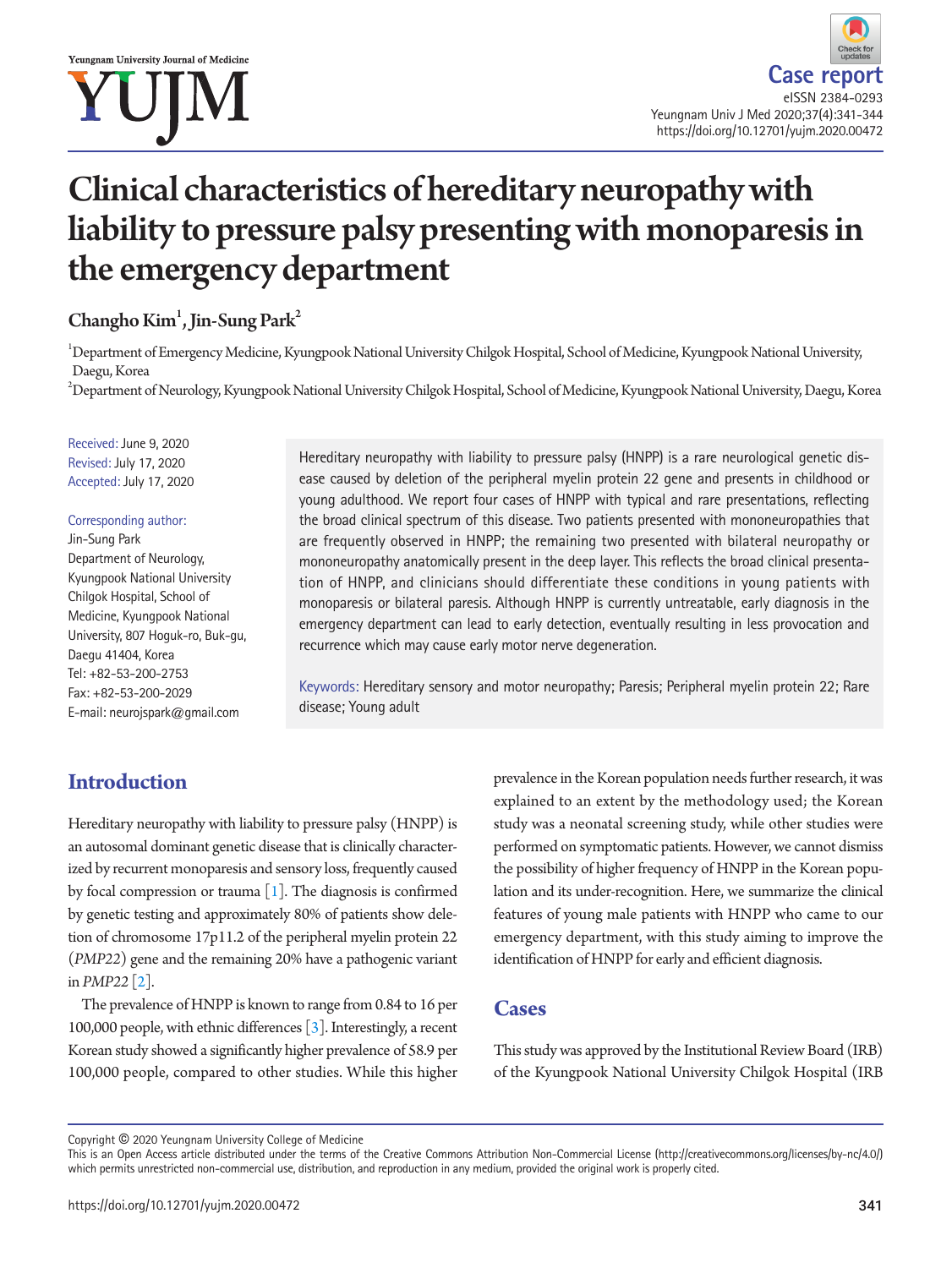# Clinical characteristics of hereditary neuropathy with liability to pressure palsy presenting with monoparesis in the emergency department

Changho  $Kim<sup>1</sup>, Jin-Sung Park<sup>2</sup>$ 

 $^1$ Department of Emergency Medicine, Kyungpook National University Chilgok Hospital, School of Medicine, Kyungpook National University, Daegu, Korea

 $^2$ Department of Neurology, Kyungpook National University Chilgok Hospital, School of Medicine, Kyungpook National University, Daegu, Korea

Received: June 9, 2020 Revised: July 17, 2020 Accepted: July 17, 2020

#### Corresponding author:

Jin-Sung Park Department of Neurology, Kyungpook National University Chilgok Hospital, School of Medicine, Kyungpook National University, 807 Hoguk-ro, Buk-gu, Daegu 41404, Korea Tel: +82-53-200-2753 Fax: +82-53-200-2029 E-mail: neurojspark@gmail.com

Hereditary neuropathy with liability to pressure palsy (HNPP) is a rare neurological genetic disease caused by deletion of the peripheral myelin protein 22 gene and presents in childhood or young adulthood. We report four cases of HNPP with typical and rare presentations, reflecting the broad clinical spectrum of this disease. Two patients presented with mononeuropathies that are frequently observed in HNPP; the remaining two presented with bilateral neuropathy or mononeuropathy anatomically present in the deep layer. This reflects the broad clinical presentation of HNPP, and clinicians should differentiate these conditions in young patients with monoparesis or bilateral paresis. Although HNPP is currently untreatable, early diagnosis in the emergency department can lead to early detection, eventually resulting in less provocation and recurrence which may cause early motor nerve degeneration.

Keywords: Hereditary sensory and motor neuropathy; Paresis; Peripheral myelin protein 22; Rare disease; Young adult

# **Introduction**

Hereditary neuropathy with liability to pressure palsy (HNPP) is an autosomal dominant genetic disease that is clinically characterized by recurrent monoparesis and sensory loss, frequently caused by focal compression or trauma  $[1]$ . The diagnosis is confirmed by genetic testing and approximately 80% of patients show deletion of chromosome 17p11.2 of the peripheral myelin protein 22 (*PMP22*) gene and the remaining 20% have a pathogenic variant in *PMP22* [\[2\]](#page-3-1).

The prevalence of HNPP is known to range from 0.84 to 16 per 100,000 people, with ethnic differences [\[3\]](#page-3-2). Interestingly, a recent Korean study showed a significantly higher prevalence of 58.9 per 100,000 people, compared to other studies. While this higher

prevalence in the Korean population needs further research, it was explained to an extent by the methodology used; the Korean study was a neonatal screening study, while other studies were performed on symptomatic patients. However, we cannot dismiss the possibility of higher frequency of HNPP in the Korean population and its under-recognition. Here, we summarize the clinical features of young male patients with HNPP who came to our emergency department, with this study aiming to improve the identification of HNPP for early and efficient diagnosis.

## **Cases**

This study was approved by the Institutional Review Board (IRB) of the Kyungpook National University Chilgok Hospital (IRB

Copyright © 2020 Yeungnam University College of Medicine

This is an Open Access article distributed under the terms of the Creative Commons Attribution Non-Commercial License (http://creativecommons.org/licenses/by-nc/4.0/) which permits unrestricted non-commercial use, distribution, and reproduction in any medium, provided the original work is properly cited.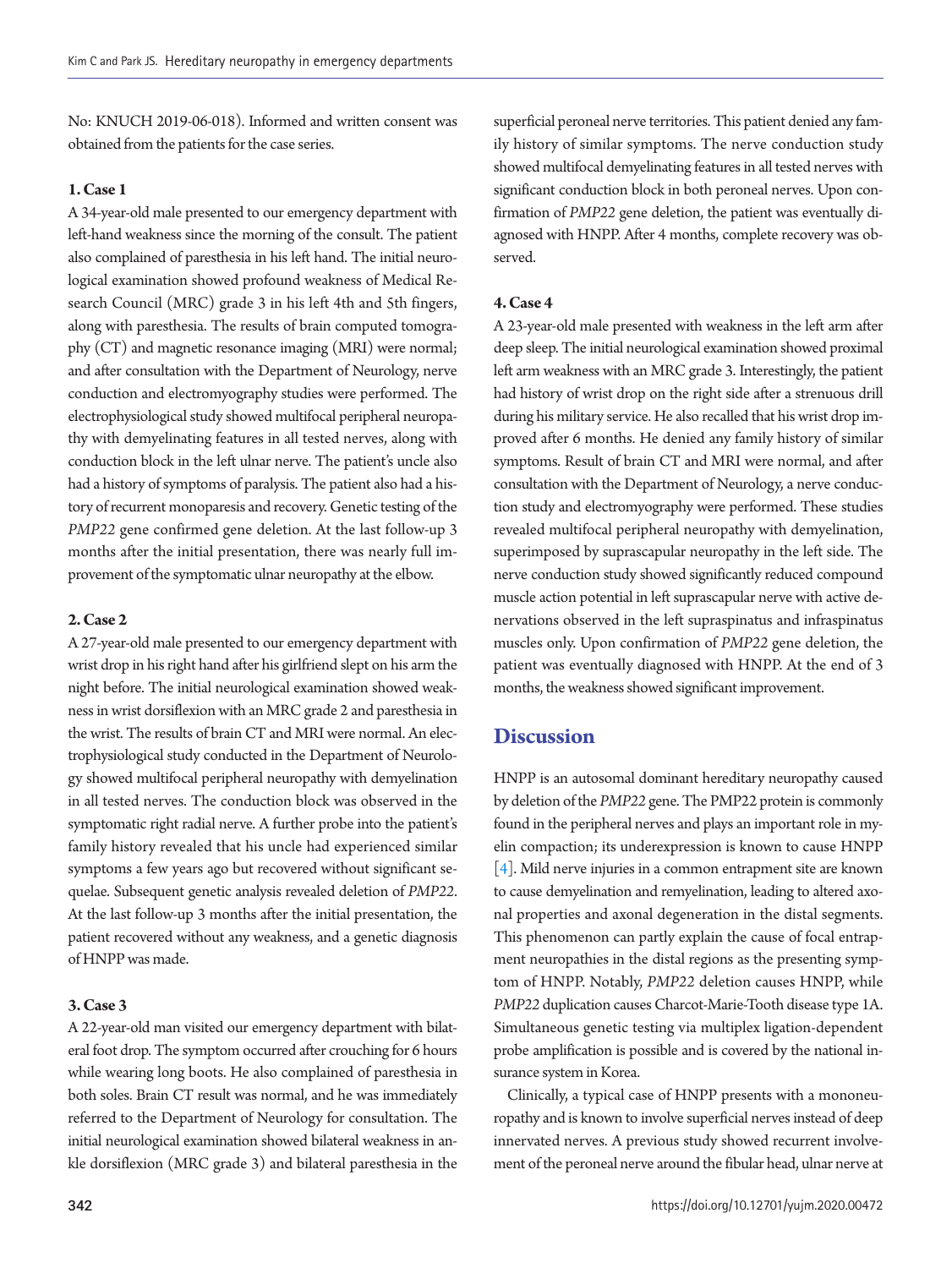No: KNUCH 2019-06-018). Informed and written consent was obtained from the patients for the case series.

#### **1. Case 1**

A 34-year-old male presented to our emergency department with left-hand weakness since the morning of the consult. The patient also complained of paresthesia in his left hand. The initial neurological examination showed profound weakness of Medical Research Council (MRC) grade 3 in his left 4th and 5th fingers, along with paresthesia. The results of brain computed tomography (CT) and magnetic resonance imaging (MRI) were normal; and after consultation with the Department of Neurology, nerve conduction and electromyography studies were performed. The electrophysiological study showed multifocal peripheral neuropathy with demyelinating features in all tested nerves, along with conduction block in the left ulnar nerve. The patient's uncle also had a history of symptoms of paralysis. The patient also had a history of recurrent monoparesis and recovery. Genetic testing of the *PMP22* gene confirmed gene deletion. At the last follow-up 3 months after the initial presentation, there was nearly full improvement of the symptomatic ulnar neuropathy at the elbow.

#### **2. Case 2**

A 27-year-old male presented to our emergency department with wrist drop in his right hand after his girlfriend slept on his arm the night before. The initial neurological examination showed weakness in wrist dorsiflexion with an MRC grade 2 and paresthesia in the wrist. The results of brain CT and MRI were normal. An electrophysiological study conducted in the Department of Neurology showed multifocal peripheral neuropathy with demyelination in all tested nerves. The conduction block was observed in the symptomatic right radial nerve. A further probe into the patient's family history revealed that his uncle had experienced similar symptoms a few years ago but recovered without significant sequelae. Subsequent genetic analysis revealed deletion of *PMP22*. At the last follow-up 3 months after the initial presentation, the patient recovered without any weakness, and a genetic diagnosis of HNPP was made.

#### **3. Case 3**

A 22-year-old man visited our emergency department with bilateral foot drop. The symptom occurred after crouching for 6 hours while wearing long boots. He also complained of paresthesia in both soles. Brain CT result was normal, and he was immediately referred to the Department of Neurology for consultation. The initial neurological examination showed bilateral weakness in ankle dorsiflexion (MRC grade 3) and bilateral paresthesia in the superficial peroneal nerve territories. This patient denied any family history of similar symptoms. The nerve conduction study showed multifocal demyelinating features in all tested nerves with significant conduction block in both peroneal nerves. Upon confirmation of *PMP22* gene deletion, the patient was eventually diagnosed with HNPP. After 4 months, complete recovery was observed.

#### **4. Case 4**

A 23-year-old male presented with weakness in the left arm after deep sleep. The initial neurological examination showed proximal left arm weakness with an MRC grade 3. Interestingly, the patient had history of wrist drop on the right side after a strenuous drill during his military service. He also recalled that his wrist drop improved after 6 months. He denied any family history of similar symptoms. Result of brain CT and MRI were normal, and after consultation with the Department of Neurology, a nerve conduction study and electromyography were performed. These studies revealed multifocal peripheral neuropathy with demyelination, superimposed by suprascapular neuropathy in the left side. The nerve conduction study showed significantly reduced compound muscle action potential in left suprascapular nerve with active denervations observed in the left supraspinatus and infraspinatus muscles only. Upon confirmation of *PMP22* gene deletion, the patient was eventually diagnosed with HNPP. At the end of 3 months, the weakness showed significant improvement.

### **Discussion**

HNPP is an autosomal dominant hereditary neuropathy caused by deletion of the *PMP22* gene. The PMP22 protein is commonly found in the peripheral nerves and plays an important role in myelin compaction; its underexpression is known to cause HNPP [\[4\]](#page-3-3). Mild nerve injuries in a common entrapment site are known to cause demyelination and remyelination, leading to altered axonal properties and axonal degeneration in the distal segments. This phenomenon can partly explain the cause of focal entrapment neuropathies in the distal regions as the presenting symptom of HNPP. Notably, *PMP22* deletion causes HNPP, while *PMP22* duplication causes Charcot-Marie-Tooth disease type 1A. Simultaneous genetic testing via multiplex ligation-dependent probe amplification is possible and is covered by the national insurance system in Korea.

Clinically, a typical case of HNPP presents with a mononeuropathy and is known to involve superficial nerves instead of deep innervated nerves. A previous study showed recurrent involvement of the peroneal nerve around the fibular head, ulnar nerve at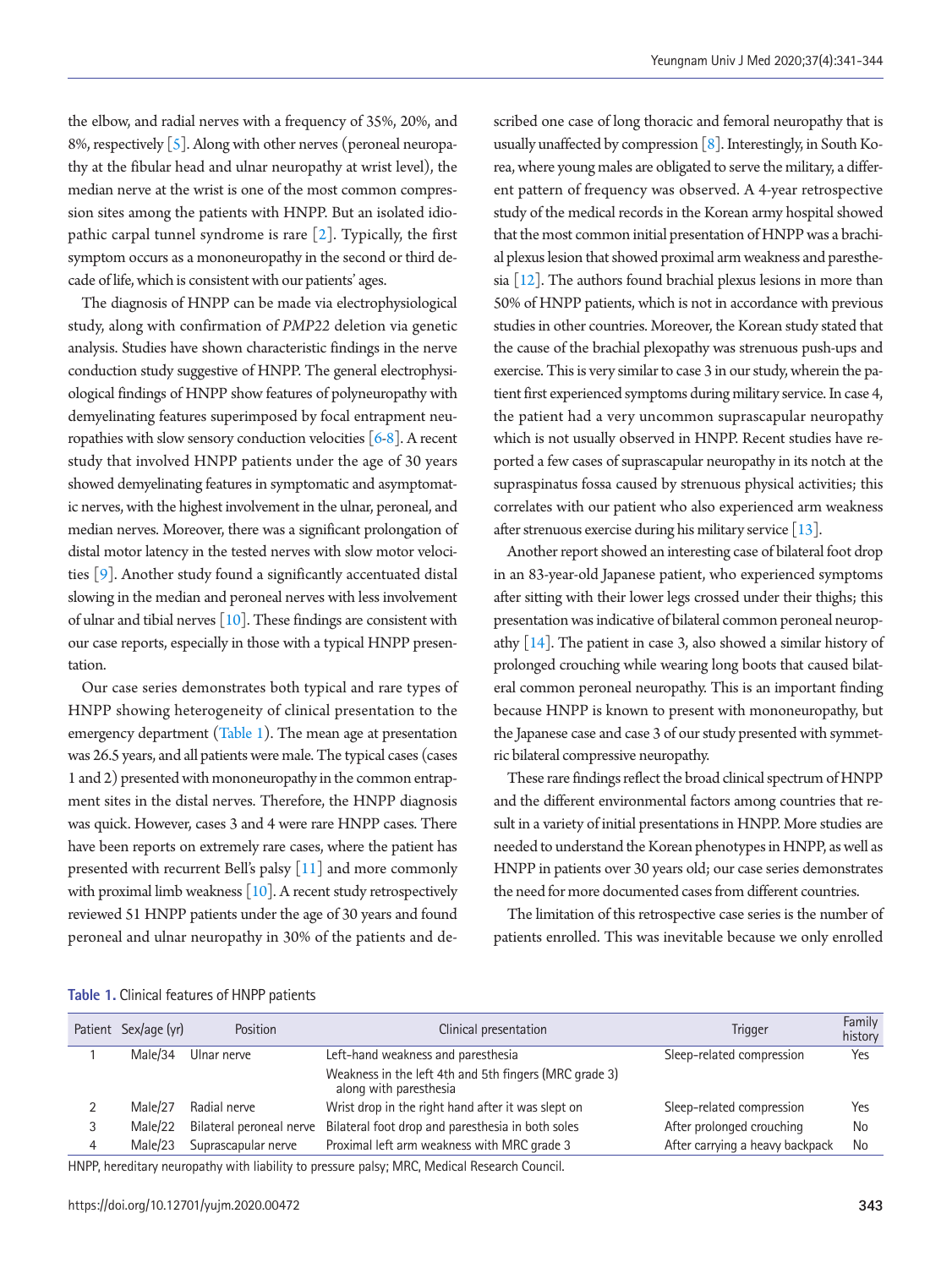the elbow, and radial nerves with a frequency of 35%, 20%, and 8%, respectively  $\lceil 5 \rceil$ . Along with other nerves (peroneal neuropathy at the fibular head and ulnar neuropathy at wrist level), the median nerve at the wrist is one of the most common compression sites among the patients with HNPP. But an isolated idiopathic carpal tunnel syndrome is rare [2]. Typically, the first symptom occurs as a mononeuropathy in the second or third decade of life, which is consistent with our patients' ages.

The diagnosis of HNPP can be made via electrophysiological study, along with confirmation of *PMP22* deletion via genetic analysis. Studies have shown characteristic findings in the nerve conduction study suggestive of HNPP. The general electrophysiological findings of HNPP show features of polyneuropathy with demyelinating features superimposed by focal entrapment neuropathies with slow sensory conduction velocities  $[6-8]$  $[6-8]$ . A recent study that involved HNPP patients under the age of 30 years showed demyelinating features in symptomatic and asymptomatic nerves, with the highest involvement in the ulnar, peroneal, and median nerves. Moreover, there was a significant prolongation of distal motor latency in the tested nerves with slow motor velocities [\[9](#page-3-7)]. Another study found a significantly accentuated distal slowing in the median and peroneal nerves with less involvement of ulnar and tibial nerves [\[10\]](#page-3-6). These findings are consistent with our case reports, especially in those with a typical HNPP presentation.

Our case series demonstrates both typical and rare types of HNPP showing heterogeneity of clinical presentation to the emergency department [\(Table 1](#page-2-0)). The mean age at presentation was 26.5 years, and all patients were male. The typical cases (cases 1 and 2) presented with mononeuropathy in the common entrapment sites in the distal nerves. Therefore, the HNPP diagnosis was quick. However, cases 3 and 4 were rare HNPP cases. There have been reports on extremely rare cases, where the patient has presented with recurrent Bell's palsy [\[11](#page-3-8)] and more commonly with proximal limb weakness  $[10]$  $[10]$ . A recent study retrospectively reviewed 51 HNPP patients under the age of 30 years and found peroneal and ulnar neuropathy in 30% of the patients and described one case of long thoracic and femoral neuropathy that is usually unaffected by compression  $[8]$  $[8]$  $[8]$ . Interestingly, in South Korea, where young males are obligated to serve the military, a different pattern of frequency was observed. A 4-year retrospective study of the medical records in the Korean army hospital showed that the most common initial presentation of HNPP was a brachial plexus lesion that showed proximal arm weakness and paresthesia [\[12\]](#page-3-9). The authors found brachial plexus lesions in more than 50% of HNPP patients, which is not in accordance with previous studies in other countries. Moreover, the Korean study stated that the cause of the brachial plexopathy was strenuous push-ups and exercise. This is very similar to case 3 in our study, wherein the patient first experienced symptoms during military service. In case 4, the patient had a very uncommon suprascapular neuropathy which is not usually observed in HNPP. Recent studies have reported a few cases of suprascapular neuropathy in its notch at the supraspinatus fossa caused by strenuous physical activities; this correlates with our patient who also experienced arm weakness after strenuous exercise during his military service [\[13\]](#page-3-10).

Another report showed an interesting case of bilateral foot drop in an 83-year-old Japanese patient, who experienced symptoms after sitting with their lower legs crossed under their thighs; this presentation was indicative of bilateral common peroneal neuropathy  $[14]$ . The patient in case 3, also showed a similar history of prolonged crouching while wearing long boots that caused bilateral common peroneal neuropathy. This is an important finding because HNPP is known to present with mononeuropathy, but the Japanese case and case 3 of our study presented with symmetric bilateral compressive neuropathy.

These rare findings reflect the broad clinical spectrum of HNPP and the different environmental factors among countries that result in a variety of initial presentations in HNPP. More studies are needed to understand the Korean phenotypes in HNPP, as well as HNPP in patients over 30 years old; our case series demonstrates the need for more documented cases from different countries.

The limitation of this retrospective case series is the number of patients enrolled. This was inevitable because we only enrolled

<span id="page-2-0"></span>**Table 1.** Clinical features of HNPP patients

| Patient Sex/age (yr) | Position                 | Clinical presentation                                                            | <b>Trigger</b>                  | Family<br>history |
|----------------------|--------------------------|----------------------------------------------------------------------------------|---------------------------------|-------------------|
| Male/34              | Ulnar nerve              | Left-hand weakness and paresthesia                                               | Sleep-related compression       | Yes               |
|                      |                          | Weakness in the left 4th and 5th fingers (MRC grade 3)<br>along with paresthesia |                                 |                   |
| Male/27              | Radial nerve             | Wrist drop in the right hand after it was slept on                               | Sleep-related compression       | Yes               |
| Male/22              | Bilateral peroneal nerve | Bilateral foot drop and paresthesia in both soles                                | After prolonged crouching       | No                |
| Male/23              | Suprascapular nerve      | Proximal left arm weakness with MRC grade 3                                      | After carrying a heavy backpack | No                |
|                      |                          |                                                                                  |                                 |                   |

HNPP, hereditary neuropathy with liability to pressure palsy; MRC, Medical Research Council.